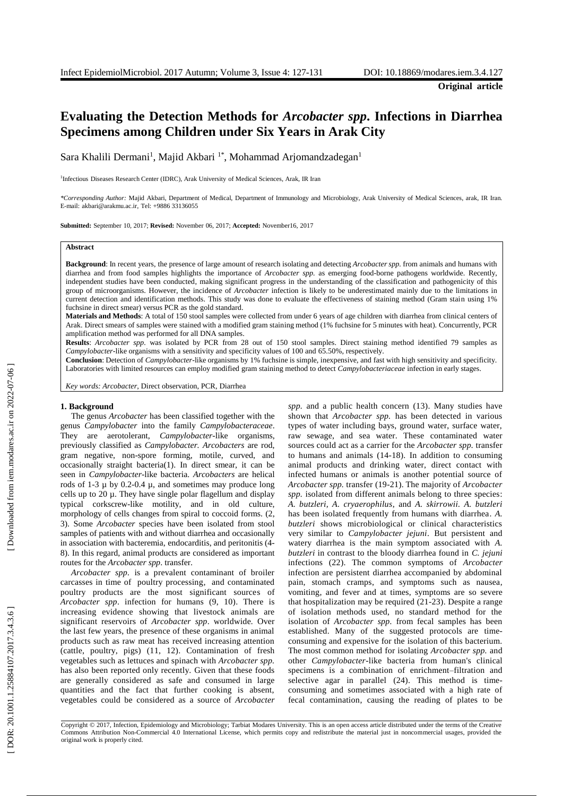**Original article**

# **Evaluatin g the Detection Methods for** *Arcobacter spp* **. Infections in Diarrhea Specimens among Children under Six Years in Arak City**

Sara Khalili Dermani<sup>1</sup>, Majid Akbari <sup>1\*</sup>, Mohammad Arjomandzadegan<sup>1</sup>

1 Infectious Diseases Research Center (IDRC), Arak University of Medical Sciences, Arak, IR Iran

*\*Corresponding Author:* Majid Akbari, Department of Medical, Department of Immunology and Microbiology, Arak University of Medical Sciences, arak, IR Iran. E-mail[: akbari@arakmu.ac.ir,](mailto:akbari@arakmu.ac.ir) Tel: +9886 <sup>33136055</sup>

**Submitted:** September 10, 2017; **Revised:** November 06, 2017; **Accepted:** November16, 2017

# **Abstract**

**Background**: In recent years, the presence of large amount of research isolating and detecting *Arcobacter spp.* from animals and humans with diarrhea and from food samples highlights the importance of *Arcobacter spp.* as emerging food -borne pathogens worldwide . Recently, independent studies have been conducted , making significant progress in the understanding of the classification and pathogenicity of this group of microorganisms. However, the incidence of *Arcobacter* infection is likely to be underestimated mainly due to the limitations in current detection and identification methods. This study was done to evaluate the effectiveness of staining method (Gram stain using 1% fuchsine in direct smear) versus PCR as the gold standard.

**Materials and Method s**: A total of 150 stool samples were collected from under 6 years of age children with diarrhea from clinical centers of Arak. Direct smear s of samples were stained with a modified gram staining method (1% fuchsin e for 5 minutes with heat). Concurrently, PCR amplification method was performed for all DNA samples.

**Results**: *Arcobacter spp .* was isolated by PCR from 28 out of 150 stool samples. Direct staining method identified 79 samples as *Campylobacter* -like organisms with a sensitivity and specificity values of 100 and 65.50%, respectively.

Conclusion: Detection of *Campylobacter*-like organisms by 1% fuchsine is simple, inexpensive, and fast with high sensitivity and specificity. Laboratories with limited resources can employ modified gram staining method to detect *Campylobacteriaceae* infection in early stages.

*Key words: Arcobacter*, Direct observation, PCR, Diarrhea

## **1 . Background**

The genus *Arcobacter* has been classified together with the genus *Campylobacter* into the family *Campylobacteraceae* . They are aerotolerant, *[Campylobacter](https://en.wikipedia.org/wiki/Campylobacter)*-like organisms, previously classified as *Campylobacter. Arcobacters* are rod, gram negative, non -spore forming, motile, curved, and occasionally straight bacteria ( 1 ) . In direct smear , it can be seen in *Campylobacter* -like bacteri a . *Arcobacters* are helical rods of  $1-3 \mu$  by 0.2-0.4  $\mu$ , and sometimes may produce long cells up to 20 µ. They have single polar flagellum and display typical corkscrew -like motility , and in old culture, morphology of cells change s from spiral to coccoid forms. ( 2, 3 ) . Some *Arcobacter* species have been isolated from stool samples of patients with and without diarrhea and occasionally in association with bacteremia, endocarditis, and peritonitis ( 4 - 8 ) . In this regard, animal product s are considered as important route s for the *Arcobacter spp* . transfer.

*Arcobacter spp .* is a prevalent contaminant of broiler carcasses in time of poultry processing , and contaminated poultry products are the most significant source s of *Arcobacter spp* . infection for humans ( 9, 10 ) . There is increasing evidence showing that livestock animals are significant reservoirs of *Arcobacter spp* . worldwide *.* Over the last few years, the presence of these organisms in animal products such as raw meat has received increasing attention (cattle, poultry, pigs) (11, 12 ) . Contamination of fresh vegetables such as lettuces and spinach with *Arcobacter spp.* has also been reported only recently. Given that these foods are generally considered as safe and consumed in large quantities and the fact that further cooking is absent, vegetables could be considered as a source of *Arcobacter*

spp. and a public health concern (13). Many studies have shown that *Arcobacter spp .* has been detected in various types of water including bays, ground water, surface water, raw sewage , and sea water. These contaminated water sources could act as a carrier for the *Arcobacter spp .* transfer to humans and animals (14 -18 ) . In addition to consuming animal product s and drinking water, direct contact with infected humans or animals is another potential source of *Arcobacter spp.* transfer (19 -21 ) . The majority of *Arcobacter* spp. isolated from different animals belong to three species: *A. butzleri, A. cryaerophilus* , and *A. skirrowii. A. butzleri* has been isolated frequently from humans with diarrhea. *A. butzleri* shows microbiological or clinical characteristics very similar to *Campylobacter jejuni*. But persistent and watery diarrhea is the main symptom associated with *A. butzleri* in contrast to the bloody diarrhea found in *C . jejuni* infections (22 ) . The common symptoms of *Arcobacter* infection are persistent diarrhea accompanied by abdominal pain , stomach cramps , and symptoms such as nausea , vomiting , and fever and at times, symptoms are so severe that hospitalization may be require d (21 -23 ) . Despite a range of isolation methods used, no standard method for the isolation of *Arcobacter spp .* from fecal samples has been established. Many of the suggested protocols are time consuming and expensive for the isolation of this bacterium. The most common method for isolating *Arcobacter spp.* and other *Campylobacter* -like bacteria from human's clinical specimens is a combination of enrichment –filtration and selective agar in parallel (24). This method is timeconsuming and sometimes associated with a high rate of fecal contamination , causing the reading of plates to be

Copyright © 2017, Infection, Epidemiology and Microbiology; Tarbiat Modares University. This is an open access article distributed under the terms of the Creative Commons Attribution Non -Commercial 4.0 International License, which permits copy and redistribute the material just in noncommercial usages, provided the original work is properly cited .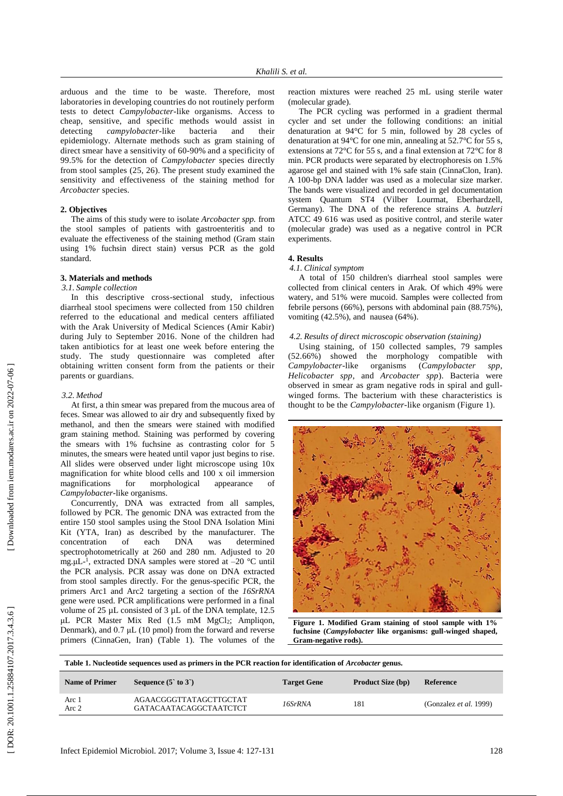arduous and the time to be waste. Therefore , most laboratories in developing countries do not routinely perform test s to detect *Campylobacter* -like organisms. Access to cheap, sensitive, and specific methods would assist in detecting *campylobacter* bacteria and their epidemiology. Alternate methods such as gram staining of direct smear have a sensitivity of 60 -90% and a specificity of 99.5% for the detection of *Campylobacter* species directly from stool samples (25, 26 ). The present study examine d the sensitivity and effectiveness of the staining method for *Arcobacter* species.

#### **2. Objectives**

The aims of this study were t o isolat e *Arcobacter spp .* from the stool samples of patients with gastroenteritis and to evaluate the effectiveness of the staining method (Gram stain using 1% fuchsin direct stain) versus PCR as the gold standard.

## **3. Materials and methods**

#### *3.1 . Sample collection*

In this descriptive cross -sectional study, infectious diarrheal stool specimens were collected from 150 children referred to the educational and medical centers affiliated with the Arak University of Medical Sciences (Amir Kabir) during July to September 2016. None of the children had taken antibiotics for at least one week before entering the study. The study questionnaire was completed after obtaining written consent form from the patients or their parents or guardian s .

#### *3.2 . Method*

At first , a thin smear was prepared from the mucous area of feces. Smear was allowed to air dry and subsequently fixed by methanol , and then the smears were stained with modified gram staining method. Staining was performed by covering the smears with 1% fuchsine as contrasting color for 5 minutes, the smears were heated until vapor just begins to rise. All slides were observed under light microscope using 10x magnification for white blood cells and 100 x oil immersion magnifications for morphological appearance of Campylobacter-like organisms.

Concurrently, DNA was extracted from all samples, followed by PCR. The genomic DNA was extracted from the entire 150 stool samples using the Stool DNA Isolation Mini Kit (YTA, Iran) as described by the manufacturer. The concentration of each DNA was determined concentration of each DNA was determined spectrophotometrically at 260 and 280 nm. Adjusted to 20 mg.μL<sup>-1</sup>, extracted DNA samples were stored at -20 °C until the PCR analysis. PCR assay was done on DNA extracted from stool samples directly. For the genus -specific PCR, the primers Arc1 and Arc2 targeting a section of the *16SrRNA* gene were used. PCR amplifications were performed in a final volume of 25 µL consisted of 3 µL of the DNA template, 12.5 μ L PCR Master Mix Red (1.5 mM MgCl <sup>2</sup>; Ampliqon, Denmark), and 0.7 μ L (10 pmol) from the forward and reverse primers (CinnaGen, Iran) (Table 1 ) . The volumes of the reaction mixtures were reached 25 mL using sterile water (molecular grade) .

The PCR cycling was performed in a gradient thermal cycler and set under the following conditions: an initial denaturation at 94°C for 5 min, followed by 28 cycles of denaturation at 94°C for one min, annealing at 52.7°C for 55 s, extensions at 72°C for 55 s, and a final extension at 72°C for 8 min. PCR products were separated by electrophoresis on 1.5% agarose gel and stained with 1% safe stain (CinnaClon, Iran). A 100 -bp DNA ladder was used as a molecular size marker. The bands were visualized and recorded in gel documentation system Quantum ST4 (Vilber Lourmat, Eberhardzell, Germany). The DNA of the reference strains *A. butzleri*  ATCC 49 616 was used as positive control , and sterile water (molecular grade) was used as a negative control in PCR experiments.

# **4. Results**

#### *4.1 . Clinical symptom*

A total of 150 children's diarrheal stool samples were collected from clinical centers in Arak. Of which 49% were watery, and 51% were mucoid. Samples were collected from febrile persons (66%), persons with abdominal pain (88.75%), vomiting (42.5%), and nausea (64%).

#### *4.2 . Results of direct microscopic observation (staining)*

Using staining, of 150 collected samples, 79 samples<br>2.66%) showed the morphology compatible with  $(52.66%)$  showed the morphology compatible *Campylobacter* organisms (*Campylobacter spp*, *Helicobacter spp* , and *Arcobacter spp* ) . Bacteria were observed in smear as gram negative rods in spiral and gullwinged form s . The bacterium with these characteristics is thought to be the *Campylobacter*-like organism (Figure 1).



**Figure 1. Modified Gram staining of stool sample with 1% fuchsine (***Campylobacter* **like organisms: gull -winged shaped, Gram -negative rods) .**

| Table 1. Nucleotide sequences used as primers in the PCR reaction for identification of <i>Arcobacter</i> genus. |                                                  |                    |                          |                               |  |  |
|------------------------------------------------------------------------------------------------------------------|--------------------------------------------------|--------------------|--------------------------|-------------------------------|--|--|
| <b>Name of Primer</b>                                                                                            | Sequence $(5 \text{ to } 3)$                     | <b>Target Gene</b> | <b>Product Size (bp)</b> | Reference                     |  |  |
| Arc 1<br>Arc 2                                                                                                   | AGAACGGGTTATAGCTTGCTAT<br>GATACAATACAGGCTAATCTCT | 16SrRNA            | 181                      | (Gonzalez <i>et al.</i> 1999) |  |  |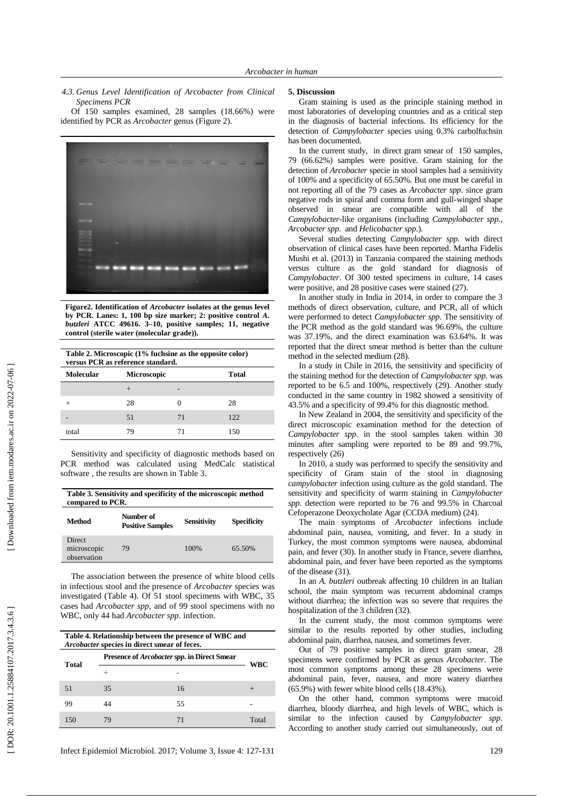*4.3 . Genus Level Identification of Arcobacter from Clinical Specimens PCR*

Of 150 samples examined, 28 samples (18.66%) were identified by PCR as *Arcobacter* genus (Figure 2 ) .



**Figure2. Identification of** *Arcobacter* **isolates at the genus level by PCR. Lanes: 1, 100 bp size marker; 2: positive control** *A. butzleri* **ATCC 49616. 3 –10, positive samples; 11, negative control (sterile water (molecular grade)).**

| Table 2. Microscopic (1% fuchsine as the opposite color)<br>versus PCR as reference standard. |                    |    |       |  |  |  |
|-----------------------------------------------------------------------------------------------|--------------------|----|-------|--|--|--|
| <b>Molecular</b>                                                                              | <b>Microscopic</b> |    | Total |  |  |  |
|                                                                                               | $^+$               |    |       |  |  |  |
|                                                                                               | 28                 |    | 28    |  |  |  |
|                                                                                               | 51                 | 71 | 122.  |  |  |  |
| total                                                                                         |                    | 71 | 150   |  |  |  |

Sensitivity and specificity of diagnostic methods based on PCR method was calculated using MedCalc [statistical](https://www.google.com/url?sa=t&rct=j&q=&esrc=s&source=web&cd=11&cad=rja&uact=8&ved=0ahUKEwiXscT-xJLSAhUEVhoKHSTKAqsQFghIMAo&url=https%3A%2F%2Fwww.medcalc.org%2Fmanual%2Fdiagnostic_test.php&usg=AFQjCNFy4b_Hysl23PiQwm0vl2HD9vTZ4Q&sig2=7HmJWgaR_xPQ5R2IrXZc6g)  [software](https://www.google.com/url?sa=t&rct=j&q=&esrc=s&source=web&cd=11&cad=rja&uact=8&ved=0ahUKEwiXscT-xJLSAhUEVhoKHSTKAqsQFghIMAo&url=https%3A%2F%2Fwww.medcalc.org%2Fmanual%2Fdiagnostic_test.php&usg=AFQjCNFy4b_Hysl23PiQwm0vl2HD9vTZ4Q&sig2=7HmJWgaR_xPQ5R2IrXZc6g) , the results are shown in Table 3 .

| Table 3. Sensitivity and specificity of the microscopic method<br>compared to PCR. |                                      |                    |                    |  |  |
|------------------------------------------------------------------------------------|--------------------------------------|--------------------|--------------------|--|--|
| Method                                                                             | Number of<br><b>Positive Samples</b> | <b>Sensitivity</b> | <b>Specificity</b> |  |  |
| Direct<br>microscopic<br>observation                                               | 79                                   | 100%               | 65.50%             |  |  |

The association between the presence of white blood cells in infectious stool and the presence of *Arcobacter* species was investigated (Table 4). Of 51 stool specimens with WBC, 35 cases had *Arcobacter spp,* and of 99 stool specimens with no WBC, only 44 had *Arcobacter spp.* infection.

| Table 4. Relationship between the presence of WBC and<br>Arcobacter species in direct smear of feces. |                                                     |    |       |  |  |
|-------------------------------------------------------------------------------------------------------|-----------------------------------------------------|----|-------|--|--|
| Total                                                                                                 | Presence of <i>Arcobacter spp</i> . in Direct Smear |    |       |  |  |
|                                                                                                       |                                                     |    | WBC   |  |  |
| 51                                                                                                    | 35                                                  | 16 |       |  |  |
| 99                                                                                                    |                                                     | 55 |       |  |  |
| 150                                                                                                   |                                                     | 71 | Total |  |  |

Infect Epidemiol Microbiol. 2017; Volume 3, Issue 4: 127 -13

## **5 . Discussion**

Gram staining is used as the principle staining method in most laboratories of developing countries and as a critical step in the diagnosis of bacterial infections. Its efficiency for the detection of *Campylobacter* species using 0.3% carbolfuchsin has been documented.

In the current study, in direct gram smear of 150 samples, 79 (66.62%) samples were positive. Gram staining for the detection of *Arcobacter* specie in stool samples had a sensitivity of 100% and a specificity of 65.50%. But one must be careful in not reporting all of the 79 cases as *Arcobacter spp*. since gram negative rods in spiral and comma form and gull -winged shape observed in smear are compatible with all of the *Campylobacter* -like organisms (including *Campylobacter spp*., *Arcobacter spp*. and *Helicobacter spp*.).

Several studies detecting *Campylobacter spp.* with direct observation of clinical cases have been reported. Martha Fidelis Mushi et al. (2013) in Tanzania compared the staining methods versus culture as the gold standard for diagnosis of *Campylobacter*. Of 300 tested specimens in culture, 14 cases were positive, and 28 positive cases were stained (27).

In another study in India in 2014, in order to compare the 3 methods of direct observation, culture, and PCR, all of which were performed to detect *Campylobacter spp*. The sensitivity of the PCR method as the gold standard was 96.69%, the culture was 37.19%, and the direct examination was 63.64%. It was reported that the direct smear method is better than the culture method in the selected medium (28 ) .

In a study in Chile in 2016, the sensitivity and specificity of the staining method for the detection of *Campylobacter spp.* was reported to be 6.5 and 100%, respectively (29 ). Another study conducted in the same country in 1982 showed a sensitivity of 43.5% and a specificity of 99.4% for this diagnostic method.

In New Zealand in 2004, the sensitivity and specificity of the direct microscopic examination method for the detection of *Campylobacter spp.* in the stool samples taken within 30 minutes after sampling were reported to be 89 and 99.7%, respectively (26 )

In 2010, a study was performed to specify the sensitivity and specificity of Gram stain of the stool in diagnosing *campylobacter* infection using culture as the gold standard. The sensitivity and specificity of warm staining in *Campylobacter spp.* detection were reported to be 76 and 99.5% in Charcoal Cefoperazone Deoxycholate Agar (CCDA medium) (24) .

The main symptoms of *Arcobacter* infections include abdominal pain, nausea, vomiting, and fever. In a study in Turkey, the most common symptoms were nausea, abdominal pain, and fever (30 ). In another study in France, severe diarrhea, abdominal pain, and fever have been reported as the symptoms of the disease (31 ) .

In an *A. butzleri* outbreak affecting 10 children in an Italian school, the main symptom was recurrent abdominal cramps without diarrhea; the infection was so severe that requires the hospitalization of the 3 children (32).

In the current study, the most common symptoms were similar to the results reported by other studies, including abdominal pain, diarrhea, nausea, and sometimes fever.

Out of 79 positive samples in direct gram smear, 28 specimens were confirmed by PCR as genus *Arcobacter*. The most common symptoms among these 28 specimens were abdominal pain, fever, nausea, and more watery diarrhea (65.9%) with fewer white blood cells (18.43%).

On the other hand, common symptoms were mucoid diarrhea, bloody diarrhea, and high levels of WBC, which is similar to the infection caused by *Campylobacter spp*. According to another study carried out simultaneously, out of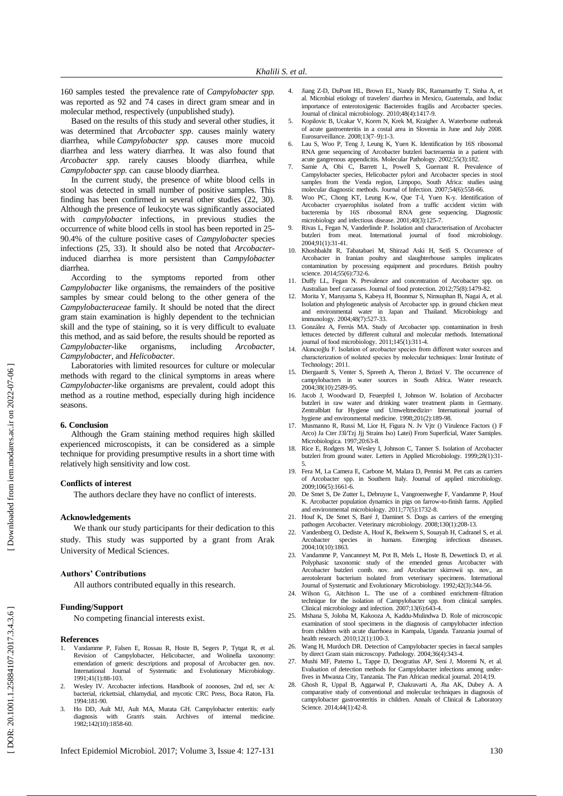160 samples tested the prevalence rate of *Campylobacter spp.* was reported as 92 and 74 cases in direct gram smear and in molecular method, respectively (unpublished study).

Based on the results of this study and several other studies, it was determined that *Arcobacter spp*. causes mainly watery diarrhea, while *Campylobacter spp.* causes more mucoid diarrhea and less watery diarrhea. It was also found that *Arcobacter spp.* rarely causes bloody diarrhea, while *Campylobacter spp.* can cause bloody diarrhea.

In the current study, the presence of white blood cells in stool was detected in small number of positive samples. This finding has been confirmed in several other studies (22, 30 ). Although the presence of leukocyte was significantly associated with *campylobacter* infections, in previous studies the occurrence of white blood cells in stool has been reported in 25 - 90.4% of the culture positive cases of *Campylobacter* species infections (25, 33 ). It should also be noted that *Arcobacter* induced diarrhea is more persistent than *Campylobacter* diarrhea.

According to the symptoms reported from other *Campylobacter* like organisms, the remainders of the positive samples by smear could belong to the other genera of the *Campylobacteraceae* family. It should be noted that the direct gram stain examination is highly dependent to the technician skill and the type of staining, so it is very difficult to evaluate this method, and as said before, the results should be reported as *Campylobacter*-like organisms, including *Arcobacter*, *Campylobacter*, and *Helicobacter* .

Laboratories with limited resources for culture or molecular methods with regard to the clinical symptoms in areas where *Campylobacter*-like organisms are prevalent, could adopt this method as a routine method, especially during high incidence seasons.

## **6. Conclusion**

Although the Gram staining method requires high skilled experienced microscopists, it can be considered as a simple technique for providing presumptive results in a short time with relatively high sensitivity and low cost.

## **Conflicts of interest**

The authors declare they have no conflict of interests.

#### **Acknowledgements**

We thank our study participants for their dedication to this study. This study was supported by a grant from Arak University of Medical Sciences.

## **Authors' Contributions**

All authors contributed equally in this research.

## **Funding/Support**

No competing financial interests exist .

#### **References**

- 1. Vandamme P, Falsen E, Rossau R, Hoste B, Segers P, Tytgat R, et al. Revision of Campylobacter, Helicobacter, and Wolinella taxonomy: emendation of generic descriptions and proposal of Arcobacter gen. nov. International Journal of Systematic and Evolutionary Microbiology. 1991;41(1):88 -103.
- 2. Wesley IV. Arcobacter infections. Handbook of zoonoses, 2nd ed, sec A: bacterial, rickettsial, chlamydial, and mycotic CRC Press, Boca Raton, Fla. 1994:181 -90.
- 3. Ho DD, Ault MJ, Ault MA, Murata GH. Campylobacter enteritis: early with Gram's stain. Archives of internal medicine. 1982;142(10):1858 -60.
- 5. Kopilovic B, Ucakar V, Koren N, Krek M, Kraigher A. Waterborne outbreak of acute gastroenteritis in a costal area in Slovenia in June and July 2008. Eurosurveillance. 2008;13(7 –9):1 -3.
- 6. Lau S, Woo P, Teng J, Leung K, Yuen K. Identification by 16S ribosomal RNA gene sequencing of Arcobacter butzleri bacteraemia in a patient with acute gangrenous appendicitis. Molecular Pathology. 2002;55(3):182.
- 7. Samie A, Obi C, Barrett L, Powell S, Guerrant R. Prevalence of Campylobacter species, Helicobacter pylori and Arcobacter species in stool samples from the Venda region, Limpopo, South Africa: studies using molecular diagnostic methods. Journal of Infection. 2007;54(6):558 -66.
- 8. Woo PC, Chong KT, Leung K -w, Que T -l, Yuen K -y. Identification of Arcobacter cryaerophilus isolated from a traffic accident victim with bacteremia by 16S ribosomal RNA gene sequencing. Diagnostic microbiology and infectious disease. 2001;40(3):125 -7.
- 9. Rivas L, Fegan N, Vanderlinde P. Isolation and characterisation of Arcobacter butzleri from meat. International journal of food microbiology. 2004;91(1):31 -41.
- 10. Khoshbakht R, Tabatabaei M, Shirzad Aski H, Seifi S. Occurrence of Arcobacter in Iranian poultry and slaughterhouse samples implicates contamination by processing equipment and procedures. British poultry science. 2014;55(6):732 -6.
- 11. Duffy LL, Fegan N. Prevalence and concentration of Arcobacter spp. on Australian beef carcasses. Journal of food protection. 2012;75(8):1479 -82.
- 12. Morita Y, Maruyama S, Kabeya H, Boonmar S, Nimsuphan B, Nagai A, et al. Isolation and phylogenetic analysis of Arcobacter spp. in ground chicken meat and environmental water in Japan and Thailand. Microbiology and immunology. 2004;48(7):527 -33.
- 13. González A, Ferrús MA. Study of Arcobacter spp. contamination in fresh lettuces detected by different cultural and molecular methods. International journal of food microbiology. 2011;145(1):311 -4.
- 14. Akıncıoğlu F. Isolation of arcobacter species from different water sources and characterization of ısolated species by molecular techniques: İzmir Institute of Technology; 2011.
- 15. Diergaardt S, Venter S, Spreeth A, Theron J, Brözel V. The occurrence of campylobacters in water sources in South Africa. Water research. 2004;38(10):2589 -95.
- 16. Jacob J, Woodward D, Feuerpfeil I, Johnson W. Isolation of Arcobacter butzleri in raw water and drinking water treatment plants in Germany. Zentralblatt fur Hygiene und Umweltmedizin= International journal of hygiene and environmental medicine. 1998;201(2):189 -98.
- 17. Musmanno R, Russi M, Lior H, Figura N. Jv Vjtr () Virulence Factors () F Arco) Ja Cter J3l/Tzj Jjj Strains Iso) Latei) From Superficial, Water Samiples. Microbiologica. 1997;20:63 -8.
- Rice E, Rodgers M, Wesley I, Johnson C, Tanner S. Isolation of Arcobacter butzleri from ground water. Letters in Applied Microbiology. 1999;28(1):31 - 5.
- 19. Fera M, La Camera E, Carbone M, Malara D, Pennisi M. Pet cats as carriers of Arcobacter spp. in Southern Italy. Journal of applied microbiology. 2009;106(5):1661 -6.
- 20. De Smet S, De Zutter L, Debruyne L, Vangroenweghe F, Vandamme P, Houf K. Arcobacter population dynamics in pigs on farrow -to -finish farms. Applied and environmental microbiology. 2011;77(5):1732 -8.
- 21. Houf K, De Smet S, Baré J, Daminet S. Dogs as carriers of the emerging pathogen Arcobacter. Veterinary microbiology. 2008;130(1):208 -13.
- 22. Vandenberg O, Dediste A, Houf K, Ibekwem S, Souayah H, Cadranel S, et al. in humans. Emerging infectious diseases. Arcobacter species<br>2004;10(10):1863.
- 23. Vandamme P, Vancanneyt M, Pot B, Mels L, Hoste B, Dewettinck D, et al. Polyphasic taxonomic study of the emended genus Arcobacter with Arcobacter butzleri comb. nov. and Arcobacter skirrowii sp. nov., an aerotolerant bacterium isolated from veterinary specimens. International Journal of Systematic and Evolutionary Microbiology. 1992;42(3):344 -56.
- 24. Wilson G, Aitchison L. The use of a combined enrichment–filtration technique for the isolation of Campylobacter spp. from clinical samples. Clinical microbiology and infection. 2007;13(6):643 -4.
- 25. Mshana S, Joloba M, Kakooza A, Kaddu -Mulindwa D. Role of microscopic examination of stool specimens in the diagnosis of campylobacter infection from children with acute diarrhoea in Kampala, Uganda. Tanzania journal of health research. 2010;12(1):100 -3.
- 26. Wang H, Murdoch DR. Detection of Campylobacter species in faecal samples by direct Gram stain microscopy. Pathology. 2004;36(4):343 -4.
- 27. Mushi MF, Paterno L, Tappe D, Deogratius AP, Seni J, Moremi N, et al. Evaluation of detection methods for Campylobacter infections among under fives in Mwanza City, Tanzania. The Pan African medical journal. 2014;19.
- 28. Ghosh R, Uppal B, Aggarwal P, Chakravarti A, Jha AK, Dubey A. A comparative study of conventional and molecular techniques in diagnosis of campylobacter gastroenteritis in children. Annals of Clinical & Laboratory Science. 2014;44(1):42 -8.

DOR: 20.1001.1.25884107.2017.3.4.3.6